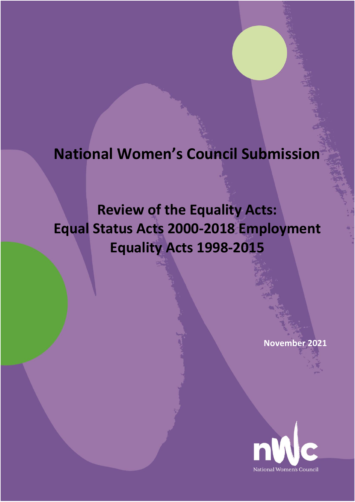# **National Women's Council Submission**

# **Review of the Equality Acts: Equal Status Acts 2000-2018 Employment Equality Acts 1998-2015**

**November 2021**

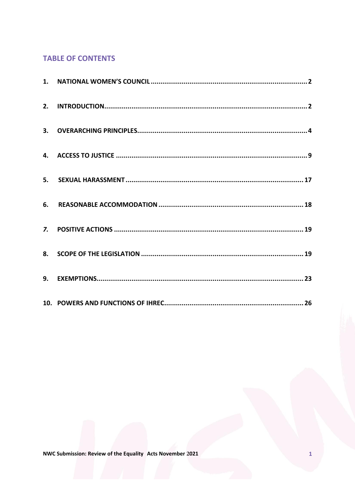# **TABLE OF CONTENTS**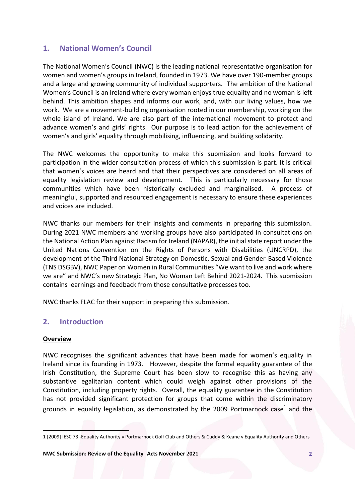# <span id="page-2-0"></span>**1. National Women's Council**

The National Women's Council (NWC) is the leading national representative organisation for women and women's groups in Ireland, founded in 1973. We have over 190-member groups and a large and growing community of individual supporters. The ambition of the National Women's Council is an Ireland where every woman enjoys true equality and no woman is left behind. This ambition shapes and informs our work, and, with our living values, how we work. We are a movement-building organisation rooted in our membership, working on the whole island of Ireland. We are also part of the international movement to protect and advance women's and girls' rights. Our purpose is to lead action for the achievement of women's and girls' equality through mobilising, influencing, and building solidarity.

The NWC welcomes the opportunity to make this submission and looks forward to participation in the wider consultation process of which this submission is part. It is critical that women's voices are heard and that their perspectives are considered on all areas of equality legislation review and development. This is particularly necessary for those communities which have been historically excluded and marginalised. A process of meaningful, supported and resourced engagement is necessary to ensure these experiences and voices are included.

NWC thanks our members for their insights and comments in preparing this submission. During 2021 NWC members and working groups have also participated in consultations on the National Action Plan against Racism for Ireland (NAPAR), the initial state report under the United Nations Convention on the Rights of Persons with Disabilities (UNCRPD), the development of the Third National Strategy on Domestic, Sexual and Gender-Based Violence (TNS DSGBV), NWC Paper on Women in Rural Communities "We want to live and work where we are" and NWC's new Strategic Plan, No Woman Left Behind 2021-2024. This submission contains learnings and feedback from those consultative processes too.

NWC thanks FLAC for their support in preparing this submission.

# <span id="page-2-1"></span>**2. Introduction**

## **Overview**

 $\overline{\phantom{a}}$ 

NWC recognises the significant advances that have been made for women's equality in Ireland since its founding in 1973. However, despite the formal equality guarantee of the Irish Constitution, the Supreme Court has been slow to recognise this as having any substantive egalitarian content which could weigh against other provisions of the Constitution, including property rights. Overall, the equality guarantee in the Constitution has not provided significant protection for groups that come within the discriminatory grounds in equality legislation, as demonstrated by the 2009 Portmarnock case $^{\rm 1}$  and the

<sup>1</sup> [2009] IESC 73 -Equality Authority v Portmarnock Golf Club and Others & Cuddy & Keane v Equality Authority and Others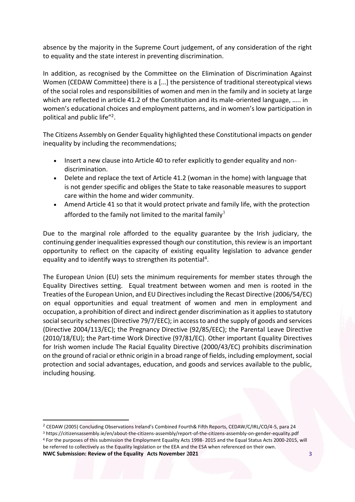absence by the majority in the Supreme Court judgement, of any consideration of the right to equality and the state interest in preventing discrimination.

In addition, as recognised by the Committee on the Elimination of Discrimination Against Women (CEDAW Committee) there is a [...] the persistence of traditional stereotypical views of the social roles and responsibilities of women and men in the family and in society at large which are reflected in article 41.2 of the Constitution and its male-oriented language, ..... in women's educational choices and employment patterns, and in women's low participation in political and public life" 2 .

The Citizens Assembly on Gender Equality highlighted these Constitutional impacts on gender inequality by including the recommendations;

- Insert a new clause into Article 40 to refer explicitly to gender equality and nondiscrimination.
- Delete and replace the text of Article 41.2 (woman in the home) with language that is not gender specific and obliges the State to take reasonable measures to support care within the home and wider community.
- Amend Article 41 so that it would protect private and family life, with the protection afforded to the family not limited to the marital family<sup>3</sup>

Due to the marginal role afforded to the equality guarantee by the Irish judiciary, the continuing gender inequalities expressed though our constitution, this review is an important opportunity to reflect on the capacity of existing equality legislation to advance gender equality and to identify ways to strengthen its potential<sup>4</sup>.

The European Union (EU) sets the minimum requirements for member states through the Equality Directives setting. Equal treatment between women and men is rooted in the Treaties of the European Union, and EU Directivesincluding the Recast Directive (2006/54/EC) on equal opportunities and equal treatment of women and men in employment and occupation, a prohibition of direct and indirect gender discrimination as it applies to statutory social security schemes (Directive 79/7/EEC); in access to and the supply of goods and services (Directive 2004/113/EC); the Pregnancy Directive (92/85/EEC); the Parental Leave Directive (2010/18/EU); the Part-time Work Directive (97/81/EC). Other important Equality Directives for Irish women include The Racial Equality Directive (2000/43/EC) prohibits discrimination on the ground of racial or ethnic origin in a broad range of fields, including employment, social protection and social advantages, education, and goods and services available to the public, including housing.

 $\overline{a}$ 

<sup>2</sup> CEDAW (2005) Concluding Observations Ireland's Combined Fourth& Fifth Reports, CEDAW/C/IRL/CO/4-5, para 24

**NWC Submission: Review of the Equality Acts November 2021 3** <sup>3</sup> https://citizensassembly.ie/en/about-the-citizens-assembly/report-of-the-citizens-assembly-on-gender-equality.pdf <sup>4</sup> For the purposes of this submission the Employment Equality Acts 1998- 2015 and the Equal Status Acts 2000-2015, will be referred to collectively as the Equality legislation or the EEA and the ESA when referenced on their own.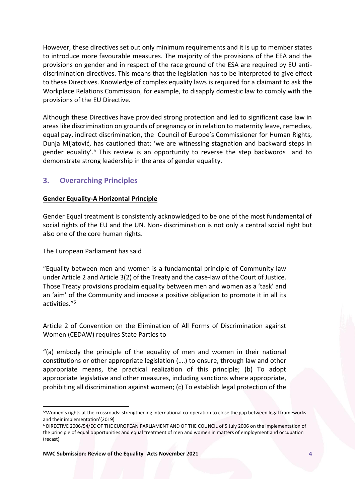However, these directives set out only minimum requirements and it is up to member states to introduce more favourable measures. The majority of the provisions of the EEA and the provisions on gender and in respect of the race ground of the ESA are required by EU antidiscrimination directives. This means that the legislation has to be interpreted to give effect to these Directives. Knowledge of complex equality laws is required for a claimant to ask the Workplace Relations Commission, for example, to disapply domestic law to comply with the provisions of the EU Directive.

Although these Directives have provided strong protection and led to significant case law in areas like discrimination on grounds of pregnancy or in relation to maternity leave, remedies, equal pay, indirect discrimination, the Council of Europe's Commissioner for Human Rights, Dunja Mijatović, has cautioned that: 'we are witnessing stagnation and backward steps in gender equality<sup>'.5</sup> This review is an opportunity to reverse the step backwords and to demonstrate strong leadership in the area of gender equality.

# <span id="page-4-0"></span>**3. Overarching Principles**

## **Gender Equality-A Horizontal Principle**

Gender Equal treatment is consistently acknowledged to be one of the most fundamental of social rights of the EU and the UN. Non- discrimination is not only a central social right but also one of the core human rights.

The European Parliament has said

 $\overline{a}$ 

"Equality between men and women is a fundamental principle of Community law under Article 2 and Article 3(2) of the Treaty and the case-law of the Court of Justice. Those Treaty provisions proclaim equality between men and women as a 'task' and an 'aim' of the Community and impose a positive obligation to promote it in all its activities."<sup>6</sup>

Article 2 of Convention on the Elimination of All Forms of Discrimination against Women (CEDAW) requires State Parties to

"(a) embody the principle of the equality of men and women in their national constitutions or other appropriate legislation (….) to ensure, through law and other appropriate means, the practical realization of this principle; (b) To adopt appropriate legislative and other measures, including sanctions where appropriate, prohibiting all discrimination against women; (c) To establish legal protection of the

<sup>5</sup> 'Women's rights at the crossroads: strengthening international co-operation to close the gap between legal frameworks and their implementation'(2019)

<sup>6</sup> DIRECTIVE 2006/54/EC OF THE EUROPEAN PARLIAMENT AND OF THE COUNCIL of 5 July 2006 on the implementation of the principle of equal opportunities and equal treatment of men and women in matters of employment and occupation (recast)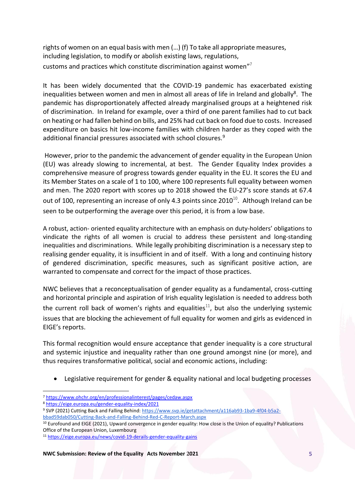rights of women on an equal basis with men (…) (f) To take all appropriate measures, including legislation, to modify or abolish existing laws, regulations, customs and practices which constitute discrimination against women" $^7$ 

It has been widely documented that the COVID-19 pandemic has exacerbated existing inequalities between women and men in almost all areas of life in Ireland and globally<sup>8</sup>. The pandemic has disproportionately affected already marginalised groups at a heightened risk of discrimination. In Ireland for example, over a third of one parent families had to cut back on heating or had fallen behind on bills, and 25% had cut back on food due to costs. Increased expenditure on basics hit low-income families with children harder as they coped with the additional financial pressures associated with school closures.<sup>9</sup>

However, prior to the pandemic the advancement of gender equality in the European Union (EU) was already slowing to incremental, at best. The Gender Equality Index provides a comprehensive measure of progress towards gender equality in the EU. It scores the EU and its Member States on a scale of 1 to 100, where 100 represents full equality between women and men. The 2020 report with scores up to 2018 showed the EU-27's score stands at 67.4 out of 100, representing an increase of only 4.3 points since 2010 $^{10}$ . Although Ireland can be seen to be outperforming the average over this period, it is from a low base.

A robust, action- oriented equality architecture with an emphasis on duty-holders' obligations to vindicate the rights of all women is crucial to address these persistent and long-standing inequalities and discriminations. While legally prohibiting discrimination is a necessary step to realising gender equality, it is insufficient in and of itself. With a long and continuing history of gendered discrimination, specific measures, such as significant positive action, are warranted to compensate and correct for the impact of those practices.

NWC believes that a reconceptualisation of gender equality as a fundamental, cross-cutting and horizontal principle and aspiration of Irish equality legislation is needed to address both the current roll back of women's rights and equalities<sup>11</sup>, but also the underlying systemic issues that are blocking the achievement of full equality for women and girls as evidenced in EIGE's reports.

This formal recognition would ensure acceptance that gender inequality is a core structural and systemic injustice and inequality rather than one ground amongst nine (or more), and thus requires transformative political, social and economic actions, including:

• Legislative requirement for gender & equality national and local budgeting processes

 $\overline{a}$ <sup>7</sup> <https://www.ohchr.org/en/professionalinterest/pages/cedaw.aspx>

<sup>8</sup> <https://eige.europa.eu/gender-equality-index/2021>

<sup>9</sup> SVP (2021) Cutting Back and Falling Behind: [https://www.svp.ie/getattachment/a116ab93-1ba9-4f04-b5a2-](https://www.svp.ie/getattachment/a116ab93-1ba9-4f04-b5a2-bbad59dab050/Cutting-Back-and-Falling-Behind-Red-C-Report-March.aspx)

[bbad59dab050/Cutting-Back-and-Falling-Behind-Red-C-Report-March.aspx](https://www.svp.ie/getattachment/a116ab93-1ba9-4f04-b5a2-bbad59dab050/Cutting-Back-and-Falling-Behind-Red-C-Report-March.aspx)

<sup>10</sup> Eurofound and EIGE (2021), Upward convergence in gender equality: How close is the Union of equality? Publications Office of the European Union, Luxembourg

<sup>11</sup> <https://eige.europa.eu/news/covid-19-derails-gender-equality-gains>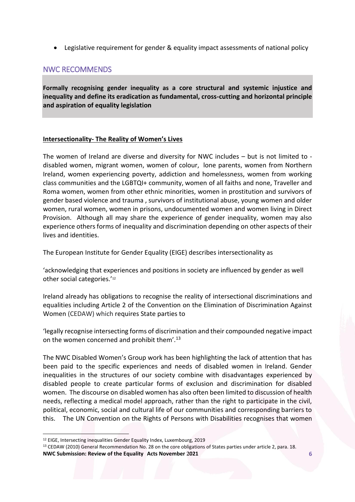• Legislative requirement for gender & equality impact assessments of national policy

# NWC RECOMMENDS

**Formally recognising gender inequality as a core structural and systemic injustice and inequality and define its eradication as fundamental, cross-cutting and horizontal principle and aspiration of equality legislation**

## **Intersectionality- The Reality of Women's Lives**

The women of Ireland are diverse and diversity for NWC includes – but is not limited to disabled women, migrant women, women of colour, lone parents, women from Northern Ireland, women experiencing poverty, addiction and homelessness, women from working class communities and the LGBTQI+ community, women of all faiths and none, Traveller and Roma women, women from other ethnic minorities, women in prostitution and survivors of gender based violence and trauma , survivors of institutional abuse, young women and older women, rural women, women in prisons, undocumented women and women living in Direct Provision. Although all may share the experience of gender inequality, women may also experience others forms of inequality and discrimination depending on other aspects of their lives and identities.

The European Institute for Gender Equality (EIGE) describes intersectionality as

'acknowledging that experiences and positions in society are influenced by gender as well other social categories.' 12

Ireland already has obligations to recognise the reality of intersectional discriminations and equalities including Article 2 of the Convention on the Elimination of Discrimination Against Women (CEDAW) which requires State parties to

'legally recognise intersecting forms of discrimination and their compounded negative impact on the women concerned and prohibit them'.<sup>13</sup>

The NWC Disabled Women's Group work has been highlighting the lack of attention that has been paid to the specific experiences and needs of disabled women in Ireland. Gender inequalities in the structures of our society combine with disadvantages experienced by disabled people to create particular forms of exclusion and discrimination for disabled women. The discourse on disabled women has also often been limited to discussion of health needs, reflecting a medical model approach, rather than the right to participate in the civil, political, economic, social and cultural life of our communities and corresponding barriers to this. The UN Convention on the Rights of Persons with Disabilities recognises that women

 $\overline{a}$ 

<sup>12</sup> EIGE, Intersecting inequalities Gender Equality Index, Luxembourg, 2019

**NWC Submission: Review of the Equality Acts November 2021 6** <sup>13</sup> CEDAW (2010) General Recommendation No. 28 on the core obligations of States parties under article 2, para. 18.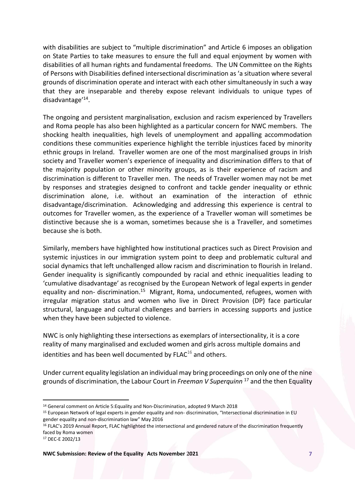with disabilities are subject to "multiple discrimination" and Article 6 imposes an obligation on State Parties to take measures to ensure the full and equal enjoyment by women with disabilities of all human rights and fundamental freedoms. The UN Committee on the Rights of Persons with Disabilities defined intersectional discrimination as 'a situation where several grounds of discrimination operate and interact with each other simultaneously in such a way that they are inseparable and thereby expose relevant individuals to unique types of disadvantage'<sup>14</sup> .

The ongoing and persistent marginalisation, exclusion and racism experienced by Travellers and Roma people has also been highlighted as a particular concern for NWC members. The shocking health inequalities, high levels of unemployment and appalling accommodation conditions these communities experience highlight the terrible injustices faced by minority ethnic groups in Ireland. Traveller women are one of the most marginalised groups in Irish society and Traveller women's experience of inequality and discrimination differs to that of the majority population or other minority groups, as is their experience of racism and discrimination is different to Traveller men. The needs of Traveller women may not be met by responses and strategies designed to confront and tackle gender inequality or ethnic discrimination alone, i.e. without an examination of the interaction of ethnic disadvantage/discrimination. Acknowledging and addressing this experience is central to outcomes for Traveller women, as the experience of a Traveller woman will sometimes be distinctive because she is a woman, sometimes because she is a Traveller, and sometimes because she is both.

Similarly, members have highlighted how institutional practices such as Direct Provision and systemic injustices in our immigration system point to deep and problematic cultural and social dynamics that left unchallenged allow racism and discrimination to flourish in Ireland. Gender inequality is significantly compounded by racial and ethnic inequalities leading to 'cumulative disadvantage' as recognised by the European Network of legal experts in gender equality and non- discrimination.<sup>15</sup> Migrant, Roma, undocumented, refugees, women with irregular migration status and women who live in Direct Provision (DP) face particular structural, language and cultural challenges and barriers in accessing supports and justice when they have been subjected to violence.

NWC is only highlighting these intersections as exemplars of intersectionality, it is a core reality of many marginalised and excluded women and girls across multiple domains and identities and has been well documented by  $F L AC^{16}$  and others.

Under current equality legislation an individual may bring proceedings on only one of the nine grounds of discrimination, the Labour Court in *Freeman V Superquinn* <sup>17</sup> and the then Equality

<sup>17</sup> DEC-E 2002/13

 $\overline{a}$ <sup>14</sup> General comment on Article 5:Equality and Non-Discrimination, adopted 9 March 2018

<sup>&</sup>lt;sup>15</sup> European Network of legal experts in gender equality and non- discrimination, "Intersectional discrimination in EU gender equality and non-discrimination law" May 2016

<sup>&</sup>lt;sup>16</sup> FLAC's 2019 Annual Report, FLAC highlighted the intersectional and gendered nature of the discrimination frequently faced by Roma women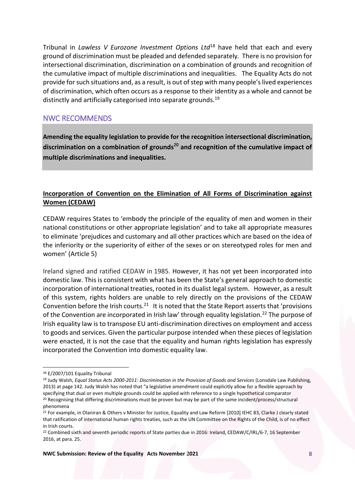Tribunal in *Lawless V Eurozone Investment Options Ltd*<sup>18</sup> have held that each and every ground of discrimination must be pleaded and defended separately*.* There is no provision for intersectional discrimination, discrimination on a combination of grounds and recognition of the cumulative impact of multiple discriminations and inequalities. The Equality Acts do not provide for such situations and, as a result, is out of step with many people's lived experiences of discrimination, which often occurs as a response to their identity as a whole and cannot be distinctly and artificially categorised into separate grounds.<sup>19</sup>

# NWC RECOMMENDS

**Amending the equality legislation to provide for the recognition intersectional discrimination, discrimination on a combination of grounds<sup>20</sup> and recognition of the cumulative impact of multiple discriminations and inequalities.**

# **Incorporation of Convention on the Elimination of All Forms of Discrimination against Women (CEDAW)**

CEDAW requires States to 'embody the principle of the equality of men and women in their national constitutions or other appropriate legislation' and to take all appropriate measures to eliminate 'prejudices and customary and all other practices which are based on the idea of the inferiority or the superiority of either of the sexes or on stereotyped roles for men and women' (Article 5)

Ireland signed and ratified CEDAW in 1985. However, it has not yet been incorporated into domestic law. This is consistent with what has been the State's general approach to domestic incorporation of international treaties, rooted in its dualist legal system. However, as a result of this system, rights holders are unable to rely directly on the provisions of the CEDAW Convention before the Irish courts.<sup>21</sup> It is noted that the State Report asserts that 'provisions of the Convention are incorporated in Irish law' through equality legislation.<sup>22</sup> The purpose of Irish equality law is to transpose EU anti-discrimination directives on employment and access to goods and services. Given the particular purpose intended when these pieces of legislation were enacted, it is not the case that the equality and human rights legislation has expressly incorporated the Convention into domestic equality law.

 $\overline{a}$ 

<sup>18</sup> E/2007/101 Equality Tribunal

<sup>19</sup> Judy Walsh, *Equal Status Acts 2000-2011: Discrimination in the Provision of Goods and Services* (Lonsdale Law Publishing, 2013) at page 142. Judy Walsh has noted that "a legislative amendment could explicitly allow for a flexible approach by specifying that dual or even multiple grounds could be applied with reference to a single hypothetical comparator <sup>20</sup> Recognising that differing discriminations must be proven but may be part of the same incident/process/structural phenomena

<sup>&</sup>lt;sup>21</sup> For example, in Olaniran & Others v Minister for Justice, Equality and Law Reform [2010] IEHC 83, Clarke J clearly stated that ratification of international human rights treaties, such as the UN Committee on the Rights of the Child, is of no effect in Irish courts.

<sup>&</sup>lt;sup>22</sup> Combined sixth and seventh periodic reports of State parties due in 2016: Ireland, CEDAW/C/IRL/6-7, 16 September 2016, at para. 25.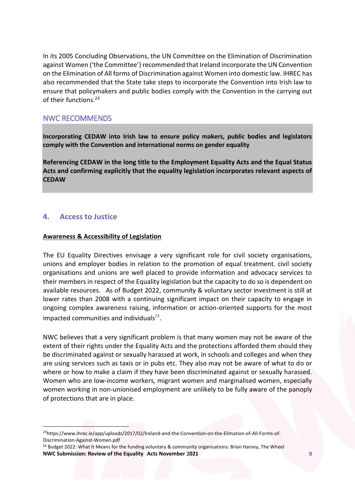In its 2005 Concluding Observations, the UN Committee on the Elimination of Discrimination against Women ('the Committee') recommended that Ireland incorporate the UN Convention on the Elimination of All forms of Discrimination against Women into domestic law. IHREC has also recommended that the State take steps to incorporate the Convention into Irish law to ensure that policymakers and public bodies comply with the Convention in the carrying out of their functions.<sup>23</sup>

# NWC RECOMMENDS

**Incorporating CEDAW into Irish law to ensure policy makers, public bodies and legislators comply with the Convention and international norms on gender equality**

**Referencing CEDAW in the long title to the Employment Equality Acts and the Equal Status Acts and confirming explicitly that the equality legislation incorporates relevant aspects of CEDAW** 

# <span id="page-9-0"></span>**4. Access to Justice**

 $\overline{a}$ 

## **Awareness & Accessibility of Legislation**

The EU Equality Directives envisage a very significant role for civil society organisations, unions and employer bodies in relation to the promotion of equal treatment. civil society organisations and unions are well placed to provide information and advocacy services to their members in respect of the Equality legislation but the capacity to do so is dependent on available resources. As of Budget 2022, community & voluntary sector investment is still at lower rates than 2008 with a continuing significant impact on their capacity to engage in ongoing complex awareness raising, information or action-oriented supports for the most impacted communities and individuals $^{24}$ .

NWC believes that a very significant problem is that many women may not be aware of the extent of their rights under the Equality Acts and the protections afforded them should they be discriminated against or sexually harassed at work, in schools and colleges and when they are using services such as taxis or in pubs etc. They also may not be aware of what to do or where or how to make a claim if they have been discriminated against or sexually harassed. Women who are low-income workers, migrant women and marginalised women, especially women working in non-unionised employment are unlikely to be fully aware of the panoply of protections that are in place.

<sup>23</sup>https://www.ihrec.ie/app/uploads/2017/02/Ireland-and-the-Convention-on-the-Elimation-of-All-Forms-of-Discrimination-Against-Women.pdf

**NWC Submission: Review of the Equality Acts November 2021 9** <sup>24</sup> Budget 2022: What It Means for the funding voluntary & community organisations: Brian Harvey, The Wheel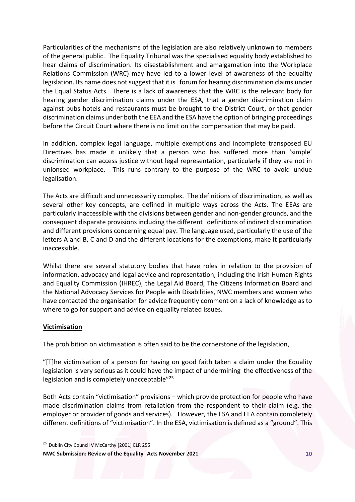Particularities of the mechanisms of the legislation are also relatively unknown to members of the general public. The Equality Tribunal was the specialised equality body established to hear claims of discrimination. Its disestablishment and amalgamation into the Workplace Relations Commission (WRC) may have led to a lower level of awareness of the equality legislation. Its name does not suggest that it is forum for hearing discrimination claims under the Equal Status Acts. There is a lack of awareness that the WRC is the relevant body for hearing gender discrimination claims under the ESA, that a gender discrimination claim against pubs hotels and restaurants must be brought to the District Court, or that gender discrimination claims under both the EEA and the ESA have the option of bringing proceedings before the Circuit Court where there is no limit on the compensation that may be paid.

In addition, complex legal language, multiple exemptions and incomplete transposed EU Directives has made it unlikely that a person who has suffered more than 'simple' discrimination can access justice without legal representation, particularly if they are not in unionsed workplace. This runs contrary to the purpose of the WRC to avoid undue legalisation.

The Acts are difficult and unnecessarily complex. The definitions of discrimination, as well as several other key concepts, are defined in multiple ways across the Acts. The EEAs are particularly inaccessible with the divisions between gender and non-gender grounds, and the consequent disparate provisions including the different definitions of indirect discrimination and different provisions concerning equal pay. The language used, particularly the use of the letters A and B, C and D and the different locations for the exemptions, make it particularly inaccessible.

Whilst there are several statutory bodies that have roles in relation to the provision of information, advocacy and legal advice and representation, including the Irish Human Rights and Equality Commission (IHREC), the Legal Aid Board, The Citizens Information Board and the National Advocacy Services for People with Disabilities, NWC members and women who have contacted the organisation for advice frequently comment on a lack of knowledge as to where to go for support and advice on equality related issues.

## **Victimisation**

 $\overline{a}$ 

The prohibition on victimisation is often said to be the cornerstone of the legislation,

"[T]he victimisation of a person for having on good faith taken a claim under the Equality legislation is very serious as it could have the impact of undermining the effectiveness of the legislation and is completely unacceptable"<sup>25</sup>

Both Acts contain "victimisation" provisions – which provide protection for people who have made discrimination claims from retaliation from the respondent to their claim (e.g. the employer or provider of goods and services). However, the ESA and EEA contain completely different definitions of "victimisation". In the ESA, victimisation is defined as a "ground". This

<sup>&</sup>lt;sup>25</sup> Dublin City Council V McCarthy [2001] ELR 255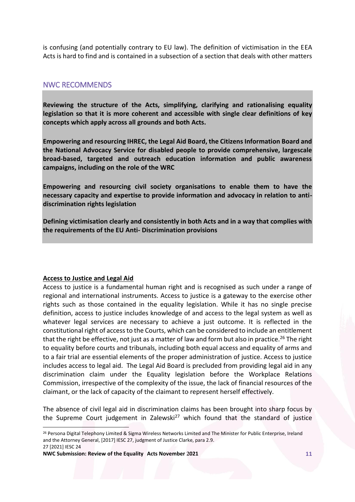is confusing (and potentially contrary to EU law). The definition of victimisation in the EEA Acts is hard to find and is contained in a subsection of a section that deals with other matters

## NWC RECOMMENDS

**Reviewing the structure of the Acts, simplifying, clarifying and rationalising equality legislation so that it is more coherent and accessible with single clear definitions of key concepts which apply across all grounds and both Acts.**

**Empowering and resourcing IHREC, the Legal Aid Board, the Citizens Information Board and the National Advocacy Service for disabled people to provide comprehensive, largescale broad-based, targeted and outreach education information and public awareness campaigns, including on the role of the WRC**

**Empowering and resourcing civil society organisations to enable them to have the necessary capacity and expertise to provide information and advocacy in relation to antidiscrimination rights legislation**

**Defining victimisation clearly and consistently in both Acts and in a way that complies with the requirements of the EU Anti- Discrimination provisions** 

## **Access to Justice and Legal Aid**

 $\overline{a}$ 

Access to justice is a fundamental human right and is recognised as such under a range of regional and international instruments. Access to justice is a gateway to the exercise other rights such as those contained in the equality legislation. While it has no single precise definition, access to justice includes knowledge of and access to the legal system as well as whatever legal services are necessary to achieve a just outcome. It is reflected in the constitutional right of access to the Courts, which can be considered to include an entitlement that the right be effective, not just as a matter of law and form but also in practice.<sup>26</sup> The right to equality before courts and tribunals, including both equal access and equality of arms and to a fair trial are essential elements of the proper administration of justice. Access to justice includes access to legal aid. The Legal Aid Board is precluded from providing legal aid in any discrimination claim under the Equality legislation before the Workplace Relations Commission, irrespective of the complexity of the issue, the lack of financial resources of the claimant, or the lack of capacity of the claimant to represent herself effectively.

The absence of civil legal aid in discrimination claims has been brought into sharp focus by the Supreme Court judgement in Zalewski<sup>27</sup> which found that the standard of justice

<sup>&</sup>lt;sup>26</sup> Persona Digital Telephony Limited & Sigma Wireless Networks Limited and The Minister for Public Enterprise, Ireland and the Attorney General, [2017] IESC 27, judgment of Justice Clarke, para 2.9. 27 [2021] IESC 24

**NWC Submission: Review of the Equality Acts November 2021 11**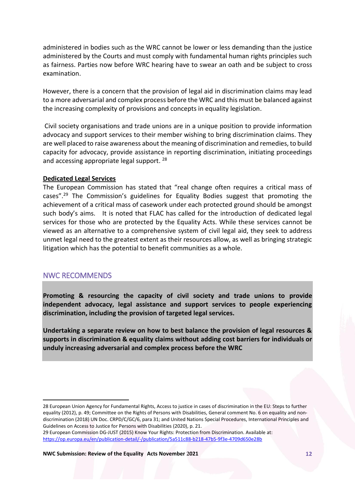administered in bodies such as the WRC cannot be lower or less demanding than the justice administered by the Courts and must comply with fundamental human rights principles such as fairness. Parties now before WRC hearing have to swear an oath and be subject to cross examination.

However, there is a concern that the provision of legal aid in discrimination claims may lead to a more adversarial and complex process before the WRC and this must be balanced against the increasing complexity of provisions and concepts in equality legislation.

Civil society organisations and trade unions are in a unique position to provide information advocacy and support services to their member wishing to bring discrimination claims. They are well placed to raise awareness about the meaning of discrimination and remedies, to build capacity for advocacy, provide assistance in reporting discrimination, initiating proceedings and accessing appropriate legal support. <sup>28</sup>

#### **Dedicated Legal Services**

The European Commission has stated that "real change often requires a critical mass of cases".<sup>29</sup> The Commission's guidelines for Equality Bodies suggest that promoting the achievement of a critical mass of casework under each protected ground should be amongst such body's aims. It is noted that FLAC has called for the introduction of dedicated legal services for those who are protected by the Equality Acts. While these services cannot be viewed as an alternative to a comprehensive system of civil legal aid, they seek to address unmet legal need to the greatest extent as their resources allow, as well as bringing strategic litigation which has the potential to benefit communities as a whole.

## NWC RECOMMENDS

 $\overline{a}$ 

**Promoting & resourcing the capacity of civil society and trade unions to provide independent advocacy, legal assistance and support services to people experiencing discrimination, including the provision of targeted legal services.** 

**Undertaking a separate review on how to best balance the provision of legal resources & supports in discrimination & equality claims without adding cost barriers for individuals or unduly increasing adversarial and complex process before the WRC** 

<sup>28</sup> European Union Agency for Fundamental Rights, [Access to justice in cases of discrimination in the EU: Steps to further](https://fra.europa.eu/en/publication/2012/access-justice-cases-discrimination-eu-steps-further-equality)  [equality](https://fra.europa.eu/en/publication/2012/access-justice-cases-discrimination-eu-steps-further-equality) (2012), p. 49; Committee on the Rights of Persons with Disabilities[, General comment No. 6 on equality and non](https://tbinternet.ohchr.org/_layouts/15/treatybodyexternal/Download.aspx?symbolno=CRPD/C/GC/6&Lang=en)[discrimination](https://tbinternet.ohchr.org/_layouts/15/treatybodyexternal/Download.aspx?symbolno=CRPD/C/GC/6&Lang=en) (2018) UN Doc. CRPD/C/GC/6, para 31; and United Nations Special Procedures[, International Principles and](https://www.un.org/development/desa/disabilities/wp-content/uploads/sites/15/2020/10/Access-to-Justice-EN.pdf)  [Guidelines on Access to Justice for Persons with Disabilities](https://www.un.org/development/desa/disabilities/wp-content/uploads/sites/15/2020/10/Access-to-Justice-EN.pdf) (2020), p. 21.

<sup>29</sup> European Commission DG-JUST (2015) Know Your Rights: Protection from Discrimination. Available at: <https://op.europa.eu/en/publication-detail/-/publication/5a511c88-b218-47b5-9f3e-4709d650e28b>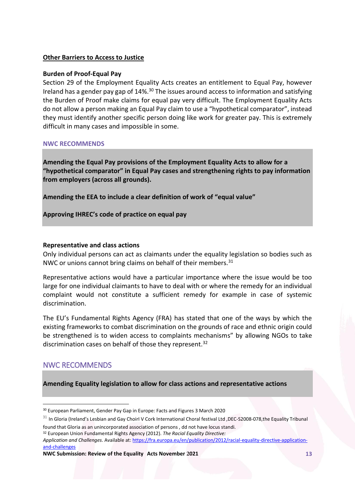## **Other Barriers to Access to Justice**

#### **Burden of Proof-Equal Pay**

Section 29 of the Employment Equality Acts creates an entitlement to Equal Pay, however Ireland has a gender pay gap of 14%.<sup>30</sup> The issues around access to information and satisfying the Burden of Proof make claims for equal pay very difficult. The Employment Equality Acts do not allow a person making an Equal Pay claim to use a "hypothetical comparator", instead they must identify another specific person doing like work for greater pay. This is extremely difficult in many cases and impossible in some.

#### **NWC RECOMMENDS**

**Amending the Equal Pay provisions of the Employment Equality Acts to allow for a "hypothetical comparator" in Equal Pay cases and strengthening rights to pay information from employers (across all grounds).** 

**Amending the EEA to include a clear definition of work of "equal value"**

**Approving IHREC's code of practice on equal pay** 

## **Representative and class actions**

Only individual persons can act as claimants under the equality legislation so bodies such as NWC or unions cannot bring claims on behalf of their members.<sup>31</sup>

Representative actions would have a particular importance where the issue would be too large for one individual claimants to have to deal with or where the remedy for an individual complaint would not constitute a sufficient remedy for example in case of systemic discrimination.

The EU's Fundamental Rights Agency (FRA) has stated that one of the ways by which the existing frameworks to combat discrimination on the grounds of race and ethnic origin could be strengthened is to widen access to complaints mechanisms" by allowing NGOs to take discrimination cases on behalf of those they represent. $32$ 

# NWC RECOMMENDS

 $\overline{a}$ 

**Amending Equality legislation to allow for class actions and representative actions** 

<sup>30</sup> European Parliament, Gender Pay Gap in Europe: Facts and Figures 3 March 2020

 $31$  In Gloria (Ireland's Lesbian and Gay Choirl V Cork International Choral festival Ltd ,DEC-S2008-078,the Equality Tribunal found that Gloria as an unincorporated association of persons , dd not have locus standi.

<sup>32</sup> European Union Fundamental Rights Agency (2012). *The Racial Equality Directive:* 

*Application and Challenges*. Available at: [https://fra.europa.eu/en/publication/2012/racial-equality-directive-application](https://fra.europa.eu/en/publication/2012/racial-equality-directive-application-and-challenges)[and-challenges](https://fra.europa.eu/en/publication/2012/racial-equality-directive-application-and-challenges)

**NWC Submission: Review of the Equality Acts November 2021 13**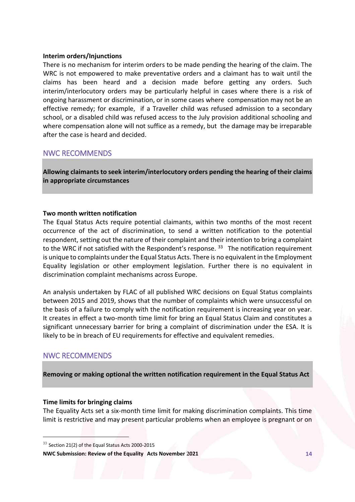### **Interim orders/Injunctions**

There is no mechanism for interim orders to be made pending the hearing of the claim. The WRC is not empowered to make preventative orders and a claimant has to wait until the claims has been heard and a decision made before getting any orders. Such interim/interlocutory orders may be particularly helpful in cases where there is a risk of ongoing harassment or discrimination, or in some cases where compensation may not be an effective remedy; for example, if a Traveller child was refused admission to a secondary school, or a disabled child was refused access to the July provision additional schooling and where compensation alone will not suffice as a remedy, but the damage may be irreparable after the case is heard and decided.

## NWC RECOMMENDS

**Allowing claimants to seek interim/interlocutory orders pending the hearing of their claims in appropriate circumstances**

## **Two month written notification**

The Equal Status Acts require potential claimants, within two months of the most recent occurrence of the act of discrimination, to send a written notification to the potential respondent, setting out the nature of their complaint and their intention to bring a complaint to the WRC if not satisfied with the Respondent's response. <sup>33</sup> The notification requirement is unique to complaints under the Equal Status Acts. There is no equivalent in the Employment Equality legislation or other employment legislation. Further there is no equivalent in discrimination complaint mechanisms across Europe.

An analysis undertaken by FLAC of all published WRC decisions on Equal Status complaints between 2015 and 2019, shows that the number of complaints which were unsuccessful on the basis of a failure to comply with the notification requirement is increasing year on year. It creates in effect a two-month time limit for bring an Equal Status Claim and constitutes a significant unnecessary barrier for bring a complaint of discrimination under the ESA. It is likely to be in breach of EU requirements for effective and equivalent remedies.

# NWC RECOMMENDS

 $\overline{a}$ 

**Removing or making optional the written notification requirement in the Equal Status Act** 

#### **Time limits for bringing claims**

The Equality Acts set a six-month time limit for making discrimination complaints. This time limit is restrictive and may present particular problems when an employee is pregnant or on

<sup>33</sup> Section 21(2) of the Equal Status Acts 2000-2015

**NWC Submission: Review of the Equality Acts November 2021 14**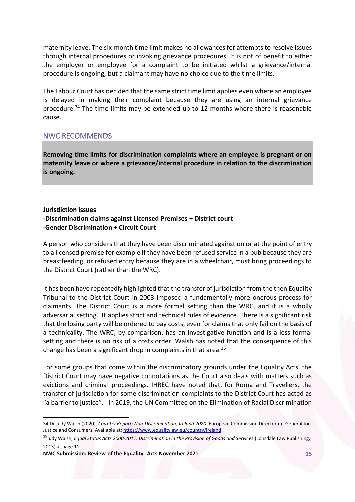maternity leave. The six-month time limit makes no allowances for attempts to resolve issues through internal procedures or invoking grievance procedures. It is not of benefit to either the employer or employee for a complaint to be initiated whilst a grievance/internal procedure is ongoing, but a claimant may have no choice due to the time limits.

The Labour Court has decided that the same strict time limit applies even where an employee is delayed in making their complaint because they are using an internal grievance procedure.<sup>34</sup> The time limits may be extended up to 12 months where there is reasonable cause.

## NWC RECOMMENDS

**Removing time limits for discrimination complaints where an employee is pregnant or on maternity leave or where a grievance/internal procedure in relation to the discrimination is ongoing.** 

## **Jurisdiction issues -Discrimination claims against Licensed Premises + District court -Gender Discrimination + Circuit Court**

A person who considers that they have been discriminated against on or at the point of entry to a licensed premise for example if they have been refused service in a pub because they are breastfeeding, or refused entry because they are in a wheelchair, must bring proceedings to the District Court (rather than the WRC).

It has been have repeatedly highlighted that the transfer of jurisdiction from the then Equality Tribunal to the District Court in 2003 imposed a fundamentally more onerous process for claimants. The District Court is a more formal setting than the WRC, and it is a wholly adversarial setting. It applies strict and technical rules of evidence. There is a significant risk that the losing party will be ordered to pay costs, even for claims that only fail on the basis of a technicality. The WRC, by comparison, has an investigative function and is a less formal setting and there is no risk of a costs order. Walsh has noted that the consequence of this change has been a significant drop in complaints in that area.<sup>35</sup>

For some groups that come within the discriminatory grounds under the Equality Acts, the District Court may have negative connotations as the Court also deals with matters such as evictions and criminal proceedings. IHREC have noted that, for Roma and Travellers, the transfer of jurisdiction for some discrimination complaints to the District Court has acted as "a barrier to justice". In 2019, the UN Committee on the Elimination of Racial Discrimination

 $\overline{a}$ 

<sup>34</sup> Dr Judy Walsh (2020), *Country Report: Non-Discrimination, Ireland 2020*. European Commission Directorate-General for Justice and Consumers. Available at[: https://www.equalitylaw.eu/country/ireland](https://www.equalitylaw.eu/country/ireland)

<sup>&</sup>lt;sup>35</sup>Judy Walsh, *Equal Status Acts 2000-2011: Discrimination in the Provision of Goods and Services (Lonsdale Law Publishing,* 2013) at page 11.

**NWC Submission: Review of the Equality Acts November 2021 15**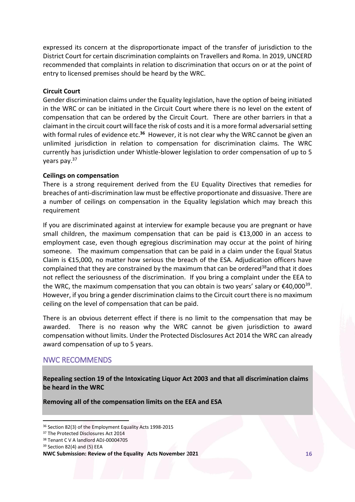expressed its concern at the disproportionate impact of the transfer of jurisdiction to the District Court for certain discrimination complaints on Travellers and Roma. In 2019, UNCERD recommended that complaints in relation to discrimination that occurs on or at the point of entry to licensed premises should be heard by the WRC.

## **Circuit Court**

Gender discrimination claims under the Equality legislation, have the option of being initiated in the WRC or can be initiated in the Circuit Court where there is no level on the extent of compensation that can be ordered by the Circuit Court. There are other barriers in that a claimant in the circuit court will face the risk of costs and it is a more formal adversarial setting with formal rules of evidence etc.**<sup>36</sup>** However, it is not clear why the WRC cannot be given an unlimited jurisdiction in relation to compensation for discrimination claims. The WRC currently has jurisdiction under Whistle-blower legislation to order compensation of up to 5 years pay.<sup>37</sup>

## **Ceilings on compensation**

There is a strong requirement derived from the EU Equality Directives that remedies for breaches of anti-discrimination law must be effective proportionate and dissuasive. There are a number of ceilings on compensation in the Equality legislation which may breach this requirement

If you are discriminated against at interview for example because you are pregnant or have small children, the maximum compensation that can be paid is €13,000 in an access to employment case, even though egregious discrimination may occur at the point of hiring someone. The maximum compensation that can be paid in a claim under the Equal Status Claim is €15,000, no matter how serious the breach of the ESA. Adjudication officers have complained that they are constrained by the maximum that can be ordered<sup>38</sup>and that it does not reflect the seriousness of the discrimination. If you bring a complaint under the EEA to the WRC, the maximum compensation that you can obtain is two years' salary or  $\epsilon$ 40,000<sup>39</sup>. However, if you bring a gender discrimination claims to the Circuit court there is no maximum ceiling on the level of compensation that can be paid.

There is an obvious deterrent effect if there is no limit to the compensation that may be awarded. There is no reason why the WRC cannot be given jurisdiction to award compensation without limits. Under the Protected Disclosures Act 2014 the WRC can already award compensation of up to 5 years.

# NWC RECOMMENDS

**Repealing section 19 of the Intoxicating Liquor Act 2003 and that all discrimination claims be heard in the WRC**

**Removing all of the compensation limits on the EEA and ESA**

 $\overline{a}$ 

<sup>36</sup> Section 82(3) of the Employment Equality Acts 1998-2015

<sup>&</sup>lt;sup>37</sup> The Protected Disclosures Act 2014

<sup>38</sup> Tenant C V A landlord ADJ-00004705

<sup>39</sup> Section 82(4) and (5) EEA

**NWC Submission: Review of the Equality Acts November 2021 16**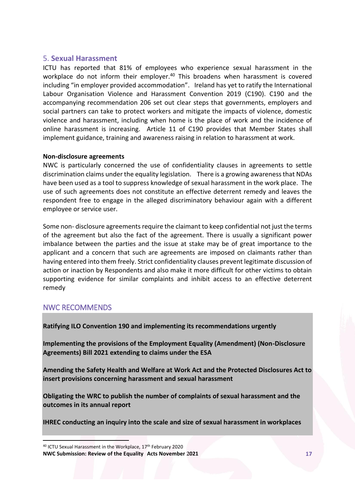## <span id="page-17-0"></span>5. **Sexual Harassment**

ICTU has reported that 81% of employees who experience sexual harassment in the workplace do not inform their employer.<sup>40</sup> This broadens when harassment is covered including "in employer provided accommodation". Ireland has yet to ratify the International Labour Organisation Violence and Harassment Convention 2019 (C190). C190 and the accompanying recommendation 206 set out clear steps that governments, employers and social partners can take to protect workers and mitigate the impacts of violence, domestic violence and harassment, including when home is the place of work and the incidence of online harassment is increasing. Article 11 of C190 provides that Member States shall implement guidance, training and awareness raising in relation to harassment at work.

## **Non-disclosure agreements**

NWC is particularly concerned the use of confidentiality clauses in agreements to settle discrimination claims under the equality legislation. There is a growing awareness that NDAs have been used as a tool to suppress knowledge of sexual harassment in the work place. The use of such agreements does not constitute an effective deterrent remedy and leaves the respondent free to engage in the alleged discriminatory behaviour again with a different employee or service user.

Some non- disclosure agreements require the claimant to keep confidential not just the terms of the agreement but also the fact of the agreement. There is usually a significant power imbalance between the parties and the issue at stake may be of great importance to the applicant and a concern that such are agreements are imposed on claimants rather than having entered into them freely. Strict confidentiality clauses prevent legitimate discussion of action or inaction by Respondents and also make it more difficult for other victims to obtain supporting evidence for similar complaints and inhibit access to an effective deterrent remedy

# NWC RECOMMENDS

 $\overline{a}$ 

**Ratifying ILO Convention 190 and implementing its recommendations urgently**

**Implementing the provisions of the Employment Equality (Amendment) (Non-Disclosure Agreements) Bill 2021 extending to claims under the ESA** 

**Amending the Safety Health and Welfare at Work Act and the Protected Disclosures Act to insert provisions concerning harassment and sexual harassment**

**Obligating the WRC to publish the number of complaints of sexual harassment and the outcomes in its annual report**

**IHREC conducting an inquiry into the scale and size of sexual harassment in workplaces**

**NWC Submission: Review of the Equality Acts November 2021 17** 40 ICTU Sexual Harassment in the Workplace, 17<sup>th</sup> February 2020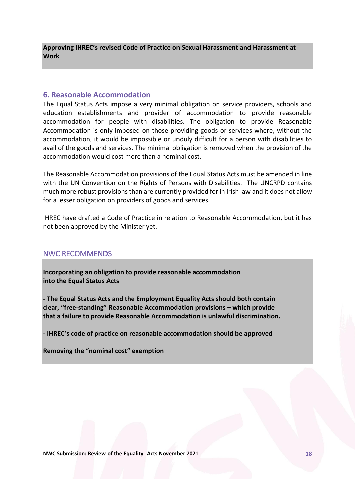**Approving IHREC's revised Code of Practice on Sexual Harassment and Harassment at Work** 

## <span id="page-18-0"></span>**6. Reasonable Accommodation**

The Equal Status Acts impose a very minimal obligation on service providers, schools and education establishments and provider of accommodation to provide reasonable accommodation for people with disabilities. The obligation to provide Reasonable Accommodation is only imposed on those providing goods or services where, without the accommodation, it would be impossible or unduly difficult for a person with disabilities to avail of the goods and services. The minimal obligation is removed when the provision of the accommodation would cost more than a nominal cost**.**

The Reasonable Accommodation provisions of the Equal Status Acts must be amended in line with the UN Convention on the Rights of Persons with Disabilities. The UNCRPD contains much more robust provisions than are currently provided for in Irish law and it does not allow for a lesser obligation on providers of goods and services.

IHREC have drafted a Code of Practice in relation to Reasonable Accommodation, but it has not been approved by the Minister yet.

# NWC RECOMMENDS

**Incorporating an obligation to provide reasonable accommodation into the Equal Status Acts**

**- The Equal Status Acts and the Employment Equality Acts should both contain clear, "free-standing" Reasonable Accommodation provisions – which provide that a failure to provide Reasonable Accommodation is unlawful discrimination.**

**- IHREC's code of practice on reasonable accommodation should be approved**

**Removing the "nominal cost" exemption**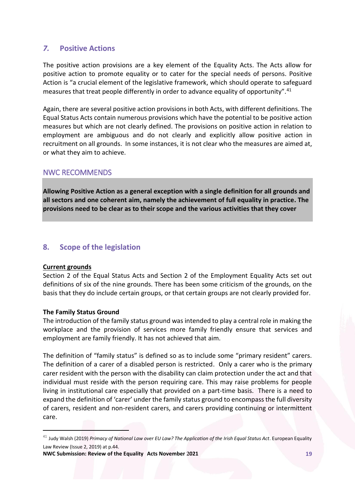# <span id="page-19-0"></span>*7.* **Positive Actions**

The positive action provisions are a key element of the Equality Acts. The Acts allow for positive action to promote equality or to cater for the special needs of persons. Positive Action is "a crucial element of the legislative framework, which should operate to safeguard measures that treat people differently in order to advance equality of opportunity".<sup>41</sup>

Again, there are several positive action provisions in both Acts, with different definitions. The Equal Status Acts contain numerous provisions which have the potential to be positive action measures but which are not clearly defined. The provisions on positive action in relation to employment are ambiguous and do not clearly and explicitly allow positive action in recruitment on all grounds. In some instances, it is not clear who the measures are aimed at, or what they aim to achieve.

# NWC RECOMMENDS

**Allowing Positive Action as a general exception with a single definition for all grounds and all sectors and one coherent aim, namely the achievement of full equality in practice. The provisions need to be clear as to their scope and the various activities that they cover**

# <span id="page-19-1"></span>**8. Scope of the legislation**

#### **Current grounds**

 $\overline{\phantom{a}}$ 

Section 2 of the Equal Status Acts and Section 2 of the Employment Equality Acts set out definitions of six of the nine grounds. There has been some criticism of the grounds, on the basis that they do include certain groups, or that certain groups are not clearly provided for.

## **The Family Status Ground**

The introduction of the family status ground was intended to play a central role in making the workplace and the provision of services more family friendly ensure that services and employment are family friendly. It has not achieved that aim.

The definition of "family status" is defined so as to include some "primary resident" carers. The definition of a carer of a disabled person is restricted. Only a carer who is the primary carer resident with the person with the disability can claim protection under the act and that individual must reside with the person requiring care. This may raise problems for people living in institutional care especially that provided on a part-time basis. There is a need to expand the definition of 'carer' under the family status ground to encompass the full diversity of carers, resident and non-resident carers, and carers providing continuing or intermittent care.

<sup>41</sup> Judy Walsh (2019) *Primacy of National Law over EU Law? The Application of the Irish Equal Status Act*. European Equality Law Review (Issue 2, 2019) at p.44.

**NWC Submission: Review of the Equality Acts November 2021 19**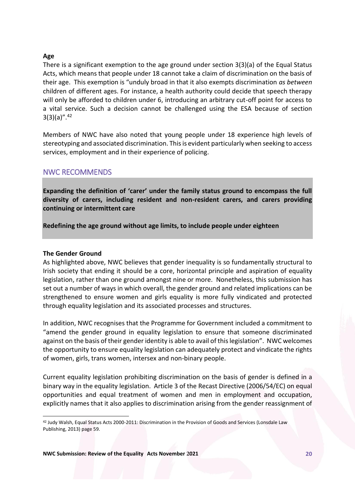## **Age**

There is a significant exemption to the age ground under section 3(3)(a) of the Equal Status Acts, which means that people under 18 cannot take a claim of discrimination on the basis of their age. This exemption is "unduly broad in that it also exempts discrimination *as between* children of different ages. For instance, a health authority could decide that speech therapy will only be afforded to children under 6, introducing an arbitrary cut-off point for access to a vital service. Such a decision cannot be challenged using the ESA because of section  $3(3)(a)$ ".  $42$ 

Members of NWC have also noted that young people under 18 experience high levels of stereotyping and associated discrimination. This is evident particularly when seeking to access services, employment and in their experience of policing.

# NWC RECOMMENDS

**Expanding the definition of 'carer' under the family status ground to encompass the full diversity of carers, including resident and non-resident carers, and carers providing continuing or intermittent care**

**Redefining the age ground without age limits, to include people under eighteen**

### **The Gender Ground**

 $\overline{a}$ 

As highlighted above, NWC believes that gender inequality is so fundamentally structural to Irish society that ending it should be a core, horizontal principle and aspiration of equality legislation, rather than one ground amongst nine or more. Nonetheless, this submission has set out a number of ways in which overall, the gender ground and related implications can be strengthened to ensure women and girls equality is more fully vindicated and protected through equality legislation and its associated processes and structures.

In addition, NWC recognises that the Programme for Government included a commitment to "amend the gender ground in equality legislation to ensure that someone discriminated against on the basis of their gender identity is able to avail of this legislation". NWC welcomes the opportunity to ensure equality legislation can adequately protect and vindicate the rights of women, girls, trans women, intersex and non-binary people.

Current equality legislation prohibiting discrimination on the basis of gender is defined in a binary way in the equality legislation. Article 3 of the Recast Directive (2006/54/EC) on equal opportunities and equal treatment of women and men in employment and occupation, explicitly names that it also applies to discrimination arising from the gender reassignment of

<sup>42</sup> Judy Walsh, Equal Status Acts 2000-2011: Discrimination in the Provision of Goods and Services (Lonsdale Law Publishing, 2013) page 59.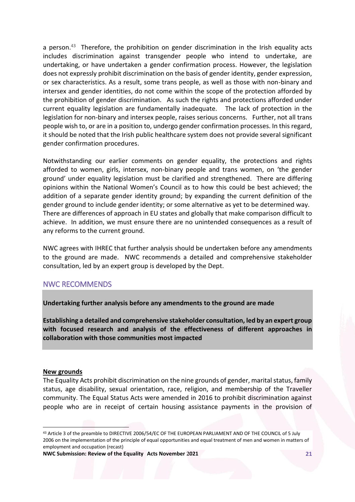a person.<sup>43</sup> Therefore, the prohibition on gender discrimination in the Irish equality acts includes discrimination against transgender people who intend to undertake, are undertaking, or have undertaken a gender confirmation process. However, the legislation does not expressly prohibit discrimination on the basis of gender identity, gender expression, or sex characteristics. As a result, some trans people, as well as those with non-binary and intersex and gender identities, do not come within the scope of the protection afforded by the prohibition of gender discrimination. As such the rights and protections afforded under current equality legislation are fundamentally inadequate. The lack of protection in the legislation for non-binary and intersex people, raises serious concerns. Further, not all trans people wish to, or are in a position to, undergo gender confirmation processes. In this regard, it should be noted that the Irish public healthcare system does not provide several significant gender confirmation procedures.

Notwithstanding our earlier comments on gender equality, the protections and rights afforded to women, girls, intersex, non-binary people and trans women, on 'the gender ground' under equality legislation must be clarified and strengthened. There are differing opinions within the National Women's Council as to how this could be best achieved; the addition of a separate gender identity ground; by expanding the current definition of the gender ground to include gender identity; or some alternative as yet to be determined way. There are differences of approach in EU states and globally that make comparison difficult to achieve. In addition, we must ensure there are no unintended consequences as a result of any reforms to the current ground.

NWC agrees with IHREC that further analysis should be undertaken before any amendments to the ground are made. NWC recommends a detailed and comprehensive stakeholder consultation, led by an expert group is developed by the Dept.

## NWC RECOMMENDS

**Undertaking further analysis before any amendments to the ground are made**

**Establishing a detailed and comprehensive stakeholder consultation, led by an expert group with focused research and analysis of the effectiveness of different approaches in collaboration with those communities most impacted** 

#### **New grounds**

 $\overline{a}$ 

The Equality Acts prohibit discrimination on the nine grounds of gender, marital status, family status, age disability, sexual orientation, race, religion, and membership of the Traveller community. The Equal Status Acts were amended in 2016 to prohibit discrimination against people who are in receipt of certain housing assistance payments in the provision of

<sup>43</sup> Article 3 of the preamble to DIRECTIVE 2006/54/EC OF THE EUROPEAN PARLIAMENT AND OF THE COUNCIL of 5 July 2006 on the implementation of the principle of equal opportunities and equal treatment of men and women in matters of employment and occupation (recast)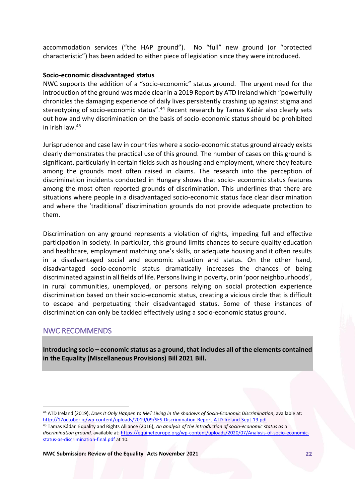accommodation services ("the HAP ground"). No "full" new ground (or "protected characteristic") has been added to either piece of legislation since they were introduced.

## **Socio-economic disadvantaged status**

NWC supports the addition of a "socio-economic" status ground. The urgent need for the introduction of the ground was made clear in a 2019 Report by ATD Ireland which "powerfully chronicles the damaging experience of daily lives persistently crashing up against stigma and stereotyping of socio-economic status".<sup>44</sup> Recent research by Tamas Kádár also clearly sets out how and why discrimination on the basis of socio-economic status should be prohibited in Irish law.<sup>45</sup>

Jurisprudence and case law in countries where a socio-economic status ground already exists clearly demonstrates the practical use of this ground. The number of cases on this ground is significant, particularly in certain fields such as housing and employment, where they feature among the grounds most often raised in claims. The research into the perception of discrimination incidents conducted in Hungary shows that socio- economic status features among the most often reported grounds of discrimination. This underlines that there are situations where people in a disadvantaged socio-economic status face clear discrimination and where the 'traditional' discrimination grounds do not provide adequate protection to them.

Discrimination on any ground represents a violation of rights, impeding full and effective participation in society. In particular, this ground limits chances to secure quality education and healthcare, employment matching one's skills, or adequate housing and it often results in a disadvantaged social and economic situation and status. On the other hand, disadvantaged socio-economic status dramatically increases the chances of being discriminated against in all fields of life. Persons living in poverty, or in 'poor neighbourhoods', in rural communities, unemployed, or persons relying on social protection experience discrimination based on their socio-economic status, creating a vicious circle that is difficult to escape and perpetuating their disadvantaged status. Some of these instances of discrimination can only be tackled effectively using a socio-economic status ground.

# NWC RECOMMENDS

 $\overline{a}$ 

**Introducing socio – economic status as a ground, that includes all of the elements contained in the Equality (Miscellaneous Provisions) Bill 2021 Bill.**

<sup>44</sup> ATD Ireland (2019), *Does It Only Happen to Me? Living in the shadows of Socio-Economic Discrimination*, available at: <http://17october.ie/wp-content/uploads/2019/09/SES-Discrimination-Report-ATD-Ireland-Sept-19.pdf>

<sup>45</sup> Tamas Kádár Equality and Rights Alliance (2016), *An analysis of the introduction of socio-economic status as a discrimination ground,* available at[: https://equineteurope.org/wp-content/uploads/2020/07/Analysis-of-socio-economic](https://equineteurope.org/wp-content/uploads/2020/07/Analysis-of-socio-economic-status-as-discrimination-final.pdf)[status-as-discrimination-final.pdf](https://equineteurope.org/wp-content/uploads/2020/07/Analysis-of-socio-economic-status-as-discrimination-final.pdf) at 10.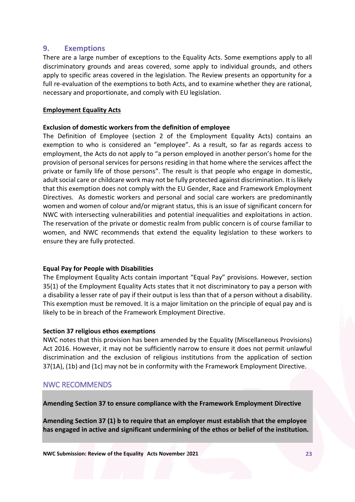## <span id="page-23-0"></span>**9. Exemptions**

There are a large number of exceptions to the Equality Acts. Some exemptions apply to all discriminatory grounds and areas covered, some apply to individual grounds, and others apply to specific areas covered in the legislation. The Review presents an opportunity for a full re-evaluation of the exemptions to both Acts, and to examine whether they are rational, necessary and proportionate, and comply with EU legislation.

## **Employment Equality Acts**

## **Exclusion of domestic workers from the definition of employee**

The Definition of Employee (section 2 of the Employment Equality Acts) contains an exemption to who is considered an "employee". As a result, so far as regards access to employment, the Acts do not apply to "a person employed in another person's home for the provision of personal services for persons residing in that home where the services affect the private or family life of those persons". The result is that people who engage in domestic, adult social care or childcare work may not be fully protected against discrimination. It is likely that this exemption does not comply with the EU Gender, Race and Framework Employment Directives. As domestic workers and personal and social care workers are predominantly women and women of colour and/or migrant status, this is an issue of significant concern for NWC with intersecting vulnerabilities and potential inequalities and exploitations in action. The reservation of the private or domestic realm from public concern is of course familiar to women, and NWC recommends that extend the equality legislation to these workers to ensure they are fully protected.

#### **Equal Pay for People with Disabilities**

The Employment Equality Acts contain important "Equal Pay" provisions. However, section 35(1) of the Employment Equality Acts states that it not discriminatory to pay a person with a disability a lesser rate of pay if their output is less than that of a person without a disability. This exemption must be removed. It is a major limitation on the principle of equal pay and is likely to be in breach of the Framework Employment Directive.

#### **Section 37 religious ethos exemptions**

NWC notes that this provision has been amended by the Equality (Miscellaneous Provisions) Act 2016. However, it may not be sufficiently narrow to ensure it does not permit unlawful discrimination and the exclusion of religious institutions from the application of section 37(1A), (1b) and (1c) may not be in conformity with the Framework Employment Directive.

# NWC RECOMMENDS

**Amending Section 37 to ensure compliance with the Framework Employment Directive**

**Amending Section 37 (1) b to require that an employer must establish that the employee has engaged in active and significant undermining of the ethos or belief of the institution.**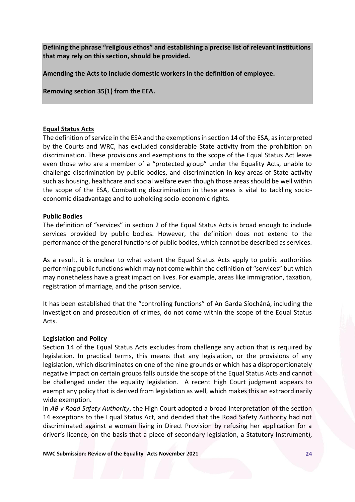**Defining the phrase "religious ethos" and establishing a precise list of relevant institutions that may rely on this section, should be provided.**

**Amending the Acts to include domestic workers in the definition of employee.**

**Removing section 35(1) from the EEA.**

## **Equal Status Acts**

The definition of service in the ESA and the exemptions in section 14 of the ESA, as interpreted by the Courts and WRC, has excluded considerable State activity from the prohibition on discrimination. These provisions and exemptions to the scope of the Equal Status Act leave even those who are a member of a "protected group" under the Equality Acts, unable to challenge discrimination by public bodies, and discrimination in key areas of State activity such as housing, healthcare and social welfare even though those areas should be well within the scope of the ESA, Combatting discrimination in these areas is vital to tackling socioeconomic disadvantage and to upholding socio-economic rights.

#### **Public Bodies**

The definition of "services" in section 2 of the Equal Status Acts is broad enough to include services provided by public bodies. However, the definition does not extend to the performance of the general functions of public bodies, which cannot be described as services.

As a result, it is unclear to what extent the Equal Status Acts apply to public authorities performing public functions which may not come within the definition of "services" but which may nonetheless have a great impact on lives. For example, areas like immigration, taxation, registration of marriage, and the prison service.

It has been established that the "controlling functions" of An Garda Síocháná, including the investigation and prosecution of crimes, do not come within the scope of the Equal Status Acts.

#### **Legislation and Policy**

Section 14 of the Equal Status Acts excludes from challenge any action that is required by legislation. In practical terms, this means that any legislation, or the provisions of any legislation, which discriminates on one of the nine grounds or which has a disproportionately negative impact on certain groups falls outside the scope of the Equal Status Acts and cannot be challenged under the equality legislation. A recent High Court judgment appears to exempt any policy that is derived from legislation as well, which makes this an extraordinarily wide exemption.

In *AB v Road Safety Authority*, the High Court adopted a broad interpretation of the section 14 exceptions to the Equal Status Act, and decided that the Road Safety Authority had not discriminated against a woman living in Direct Provision by refusing her application for a driver's licence, on the basis that a piece of secondary legislation, a Statutory Instrument),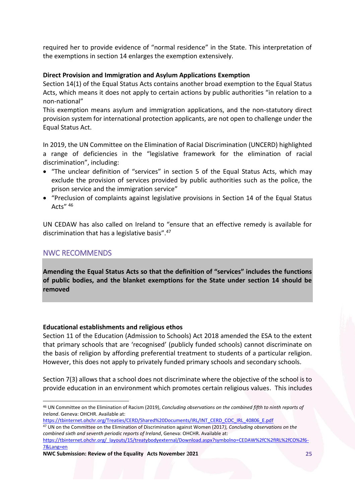required her to provide evidence of "normal residence" in the State. This interpretation of the exemptions in section 14 enlarges the exemption extensively.

## **Direct Provision and Immigration and Asylum Applications Exemption**

Section 14(1) of the Equal Status Acts contains another broad exemption to the Equal Status Acts, which means it does not apply to certain actions by public authorities "in relation to a non-national"

This exemption means asylum and immigration applications, and the non-statutory direct provision system for international protection applicants, are not open to challenge under the Equal Status Act.

In 2019, the UN Committee on the Elimination of Racial Discrimination (UNCERD) highlighted a range of deficiencies in the "legislative framework for the elimination of racial discrimination", including:

- "The unclear definition of "services" in section 5 of the Equal Status Acts, which may exclude the provision of services provided by public authorities such as the police, the prison service and the immigration service"
- "Preclusion of complaints against legislative provisions in Section 14 of the Equal Status Acts $''$ <sup>46</sup>

UN CEDAW has also called on Ireland to "ensure that an effective remedy is available for discrimination that has a legislative basis".<sup>47</sup>

# NWC RECOMMENDS

 $\overline{a}$ 

**Amending the Equal Status Acts so that the definition of "services" includes the functions of public bodies, and the blanket exemptions for the State under section 14 should be removed**

## **Educational establishments and religious ethos**

Section 11 of the Education (Admission to Schools) Act 2018 amended the ESA to the extent that primary schools that are 'recognised' (publicly funded schools) cannot discriminate on the basis of religion by affording preferential treatment to students of a particular religion. However, this does not apply to privately funded primary schools and secondary schools.

Section 7(3) allows that a school does not discriminate where the objective of the school is to provide education in an environment which promotes certain religious values. This includes

<sup>46</sup> UN Committee on the Elimination of Racism (2019), *Concluding observations on the combined fifth to ninth reports of Ireland*. Geneva: OHCHR. Available at:

[https://tbinternet.ohchr.org/Treaties/CERD/Shared%20Documents/IRL/INT\\_CERD\\_COC\\_IRL\\_40806\\_E.pdf](https://tbinternet.ohchr.org/Treaties/CERD/Shared%20Documents/IRL/INT_CERD_COC_IRL_40806_E.pdf) <sup>47</sup> UN on the Committee on the Elimination of Discrimination against Women (2017*), Concluding observations on the combined sixth and seventh periodic reports of Ireland*, Geneva: OHCHR. Available at:

[https://tbinternet.ohchr.org/\\_layouts/15/treatybodyexternal/Download.aspx?symbolno=CEDAW%2fC%2fIRL%2fCO%2f6-](https://tbinternet.ohchr.org/_layouts/15/treatybodyexternal/Download.aspx?symbolno=CEDAW%2fC%2fIRL%2fCO%2f6-7&Lang=en) [7&Lang=en](https://tbinternet.ohchr.org/_layouts/15/treatybodyexternal/Download.aspx?symbolno=CEDAW%2fC%2fIRL%2fCO%2f6-7&Lang=en)

**NWC Submission: Review of the Equality Acts November 2021 25**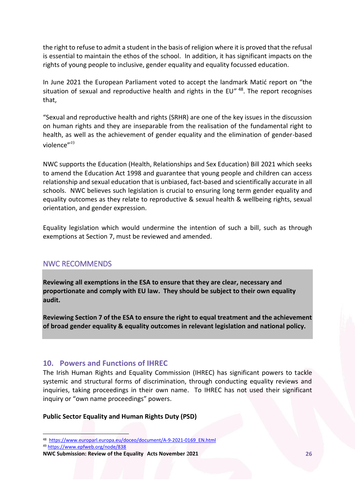the right to refuse to admit a student in the basis of religion where it is proved that the refusal is essential to maintain the ethos of the school. In addition, it has significant impacts on the rights of young people to inclusive, gender equality and equality focussed education.

In June 2021 the European Parliament voted to accept the landmark Matić report on "the situation of sexual and reproductive health and rights in the EU" 48 . The report recognises that,

"Sexual and reproductive health and rights (SRHR) are one of the key issues in the discussion on human rights and they are inseparable from the realisation of the fundamental right to health, as well as the achievement of gender equality and the elimination of gender-based violence"<sup>49</sup>

NWC supports the Education (Health, Relationships and Sex Education) Bill 2021 which seeks to amend the Education Act 1998 and guarantee that young people and children can access relationship and sexual education that is unbiased, fact-based and scientifically accurate in all schools. NWC believes such legislation is crucial to ensuring long term gender equality and equality outcomes as they relate to reproductive & sexual health & wellbeing rights, sexual orientation, and gender expression.

Equality legislation which would undermine the intention of such a bill, such as through exemptions at Section 7, must be reviewed and amended.

# NWC RECOMMENDS

**Reviewing all exemptions in the ESA to ensure that they are clear, necessary and proportionate and comply with EU law. They should be subject to their own equality audit.**

**Reviewing Section 7 of the ESA to ensure the right to equal treatment and the achievement of broad gender equality & equality outcomes in relevant legislation and national policy.**

# <span id="page-26-0"></span>**10. Powers and Functions of IHREC**

The Irish Human Rights and Equality Commission (IHREC) has significant powers to tackle systemic and structural forms of discrimination, through conducting equality reviews and inquiries, taking proceedings in their own name. To IHREC has not used their significant inquiry or "own name proceedings" powers.

#### **Public Sector Equality and Human Rights Duty (PSD)**

 $\overline{a}$ 

<sup>&</sup>lt;sup>48</sup> https://www.europarl.europa.eu/doceo/document/A-9-2021-0169 EN.html

<sup>49</sup> <https://www.epfweb.org/node/838>

**NWC Submission: Review of the Equality Acts November 2021 26**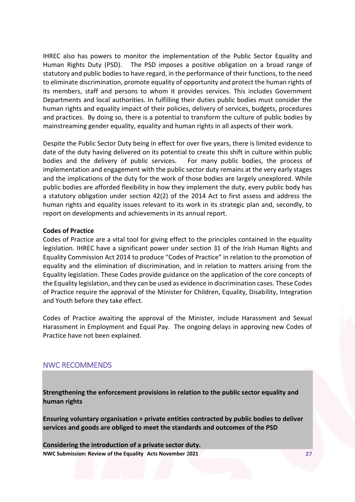IHREC also has powers to monitor the implementation of the Public Sector Equality and Human Rights Duty (PSD). The PSD imposes a positive obligation on a broad range of statutory and public bodies to have regard, in the performance of their functions, to the need to eliminate discrimination, promote equality of opportunity and protect the human rights of its members, staff and persons to whom it provides services. This includes Government Departments and local authorities. In fulfilling their duties public bodies must consider the human rights and equality impact of their policies, delivery of services, budgets, procedures and practices. By doing so, there is a potential to transform the culture of public bodies by mainstreaming gender equality, equality and human rights in all aspects of their work.

Despite the Public Sector Duty being in effect for over five years, there is limited evidence to date of the duty having delivered on its potential to create this shift in culture within public bodies and the delivery of public services. For many public bodies, the process of implementation and engagement with the public sector duty remains at the very early stages and the implications of the duty for the work of those bodies are largely unexplored. While public bodies are afforded flexibility in how they implement the duty, every public body has a statutory obligation under section 42(2) of the 2014 Act to first assess and address the human rights and equality issues relevant to its work in its strategic plan and, secondly, to report on developments and achievements in its annual report.

#### **Codes of Practice**

Codes of Practice are a vital tool for giving effect to the principles contained in the equality legislation. IHREC have a significant power under section 31 of the Irish Human Rights and Equality Commission Act 2014 to produce "Codes of Practice" in relation to the promotion of equality and the elimination of discrimination, and in relation to matters arising from the Equality legislation. These Codes provide guidance on the application of the core concepts of the Equality legislation, and they can be used as evidence in discrimination cases. These Codes of Practice require the approval of the Minister for Children, Equality, Disability, Integration and Youth before they take effect.

Codes of Practice awaiting the approval of the Minister, include Harassment and Sexual Harassment in Employment and Equal Pay. The ongoing delays in approving new Codes of Practice have not been explained.

# NWC RECOMMENDS

**Strengthening the enforcement provisions in relation to the public sector equality and human rights** 

**Ensuring voluntary organisation + private entities contracted by public bodies to deliver services and goods are obliged to meet the standards and outcomes of the PSD**

**NWC Submission: Review of the Equality Acts November 2021 27 Considering the introduction of a private sector duty.**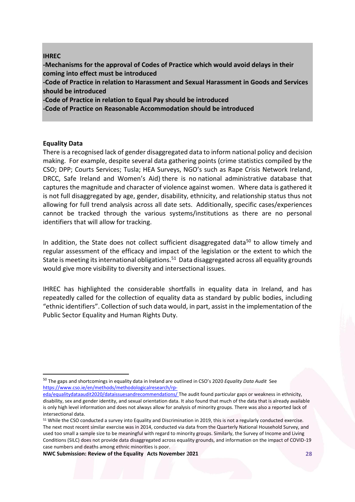## **IHREC**

**-Mechanisms for the approval of Codes of Practice which would avoid delays in their coming into effect must be introduced**

**-Code of Practice in relation to Harassment and Sexual Harassment in Goods and Services should be introduced**

**-Code of Practice in relation to Equal Pay should be introduced**

**-Code of Practice on Reasonable Accommodation should be introduced**

## **Equality Data**

 $\overline{a}$ 

There is a recognised lack of gender disaggregated data to inform national policy and decision making. For example, despite several data gathering points (crime statistics compiled by the CSO; DPP; Courts Services; Tusla; HEA Surveys, NGO's such as Rape Crisis Network Ireland, DRCC, Safe Ireland and Women's Aid) there is no national administrative database that captures the magnitude and character of violence against women. Where data is gathered it is not full disaggregated by age, gender, disability, ethnicity, and relationship status thus not allowing for full trend analysis across all date sets. Additionally, specific cases/experiences cannot be tracked through the various systems/institutions as there are no personal identifiers that will allow for tracking.

In addition, the State does not collect sufficient disaggregated data<sup>50</sup> to allow timely and regular assessment of the efficacy and impact of the legislation or the extent to which the State is meeting its international obligations.<sup>51</sup> Data disaggregated across all equality grounds would give more visibility to diversity and intersectional issues.

IHREC has highlighted the considerable shortfalls in equality data in Ireland, and has repeatedly called for the collection of equality data as standard by public bodies, including "ethnic identifiers". Collection of such data would, in part, assist in the implementation of the Public Sector Equality and Human Rights Duty.

<sup>50</sup> The gaps and shortcomings in equality data in Ireland are outlined in CSO's 2020 *Equality Data Audit* See [https://www.cso.ie/en/methods/methodologicalresearch/rp-](https://www.cso.ie/en/methods/methodologicalresearch/rp-eda/equalitydataaudit2020/dataissuesandrecommendations/)

[eda/equalitydataaudit2020/dataissuesandrecommendations/](https://www.cso.ie/en/methods/methodologicalresearch/rp-eda/equalitydataaudit2020/dataissuesandrecommendations/) The audit found particular gaps or weakness in ethnicity, disability, sex and gender identity, and sexual orientation data. It also found that much of the data that is already available is only high level information and does not always allow for analysis of minority groups. There was also a reported lack of intersectional data.

<sup>51</sup> While the CSO conducted a survey into Equality and Discrimination in 2019, this is not a regularly conducted exercise. The next most recent similar exercise was in 2014, conducted via data from the Quarterly National Household Survey, and used too small a sample size to be meaningful with regard to minority groups. Similarly, the Survey of Income and Living Conditions (SILC) does not provide data disaggregated across equality grounds, and information on the impact of COVID-19 case numbers and deaths among ethnic minorities is poor.